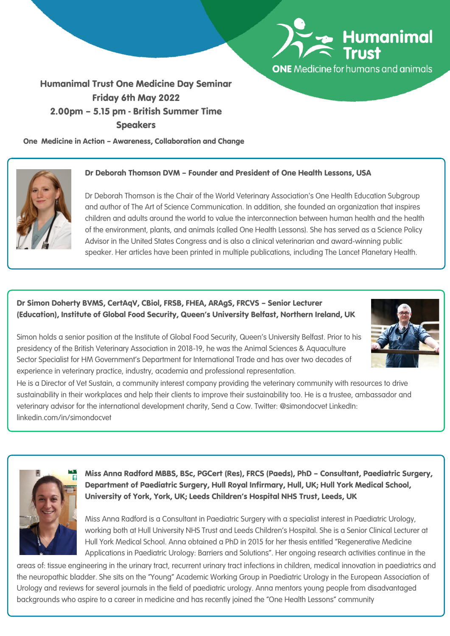

**ONE** Medicine for humans and animals

# Humanimal Trust One Medicine Day Seminar Friday 6th May 2022 2.00pm – 5.15 pm - British Summer Time Speakers

One Medicine in Action – Awareness, Collaboration and Change



### Dr Deborah Thomson DVM – Founder and President of One Health Lessons, USA

Dr Deborah Thomson is the Chair of the World Veterinary Association's One Health Education Subgroup and author of The Art of Science Communication. In addition, she founded an organization that inspires children and adults around the world to value the interconnection between human health and the health of the environment, plants, and animals (called One Health Lessons). She has served as a Science Policy Advisor in the United States Congress and is also a clinical veterinarian and award-winning public speaker. Her articles have been printed in multiple publications, including The Lancet Planetary Health.

## Dr Simon Doherty BVMS, CertAqV, CBiol, FRSB, FHEA, ARAgS, FRCVS – Senior Lecturer (Education), Institute of Global Food Security, Queen's University Belfast, Northern Ireland, UK

Simon holds a senior position at the Institute of Global Food Security, Queen's University Belfast. Prior to his presidency of the British Veterinary Association in 2018-19, he was the Animal Sciences & Aquaculture Sector Specialist for HM Government's Department for International Trade and has over two decades of experience in veterinary practice, industry, academia and professional representation.

He is a Director of Vet Sustain, a community interest company providing the veterinary community with resources to drive sustainability in their workplaces and help their clients to improve their sustainability too. He is a trustee, ambassador and veterinary advisor for the international development charity, Send a Cow. Twitter: @simondocvet LinkedIn: linkedin.com/in/simondocvet



Miss Anna Radford MBBS, BSc, PGCert (Res), FRCS (Paeds), PhD – Consultant, Paediatric Surgery, Department of Paediatric Surgery, Hull Royal Infirmary, Hull, UK; Hull York Medical School, University of York, York, UK; Leeds Children's Hospital NHS Trust, Leeds, UK

Miss Anna Radford is a Consultant in Paediatric Surgery with a specialist interest in Paediatric Urology, working both at Hull University NHS Trust and Leeds Children's Hospital. She is a Senior Clinical Lecturer at Hull York Medical School. Anna obtained a PhD in 2015 for her thesis entitled "Regenerative Medicine Applications in Paediatric Urology: Barriers and Solutions". Her ongoing research activities continue in the

areas of: tissue engineering in the urinary tract, recurrent urinary tract infections in children, medical innovation in paediatrics and the neuropathic bladder. She sits on the "Young" Academic Working Group in Paediatric Urology in the European Association of Urology and reviews for several journals in the field of paediatric urology. Anna mentors young people from disadvantaged backgrounds who aspire to a career in medicine and has recently joined the "One Health Lessons" community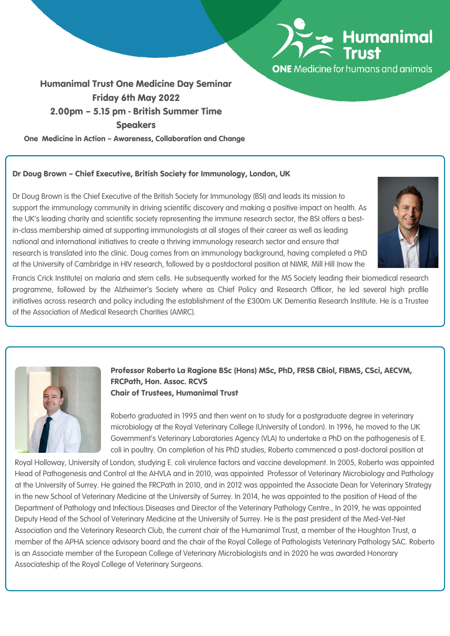

**ONE** Medicine for humans and animals

# Humanimal Trust One Medicine Day Seminar Friday 6th May 2022 2.00pm – 5.15 pm - British Summer Time Speakers

One Medicine in Action – Awareness, Collaboration and Change

### Dr Doug Brown – Chief Executive, British Society for Immunology, London, UK

Dr Doug Brown is the Chief Executive of the British Society for Immunology (BSI) and leads its mission to support the immunology community in driving scientific discovery and making a positive impact on health. As the UK's leading charity and scientific society representing the immune research sector, the BSI offers a bestin-class membership aimed at supporting immunologists at all stages of their career as well as leading national and international initiatives to create a thriving immunology research sector and ensure that research is translated into the clinic. Doug comes from an immunology background, having completed a PhD at the University of Cambridge in HIV research, followed by a postdoctoral position at NIMR, Mill Hill (now the



Francis Crick Institute) on malaria and stem cells. He subsequently worked for the MS Society leading their biomedical research programme, followed by the Alzheimer's Society where as Chief Policy and Research Officer, he led several high profile initiatives across research and policy including the establishment of the £300m UK Dementia Research Institute. He is a Trustee of the Association of Medical Research Charities (AMRC).



Professor Roberto La Ragione BSc (Hons) MSc, PhD, FRSB CBiol, FIBMS, CSci, AECVM, FRCPath, Hon. Assoc. RCVS Chair of Trustees, Humanimal Trust

Roberto graduated in 1995 and then went on to study for a postgraduate degree in veterinary microbiology at the Royal Veterinary College (University of London). In 1996, he moved to the UK Government's Veterinary Laboratories Agency (VLA) to undertake a PhD on the pathogenesis of E. coli in poultry. On completion of his PhD studies, Roberto commenced a post-doctoral position at

Royal Holloway, University of London, studying E. coli virulence factors and vaccine development. In 2005, Roberto was appointed Head of Pathogenesis and Control at the AHVLA and in 2010, was appointed Professor of Veterinary Microbiology and Pathology at the University of Surrey. He gained the FRCPath in 2010, and in 2012 was appointed the Associate Dean for Veterinary Strategy in the new School of Veterinary Medicine at the University of Surrey. In 2014, he was appointed to the position of Head of the Department of Pathology and Infectious Diseases and Director of the Veterinary Pathology Centre., In 2019, he was appointed Deputy Head of the School of Veterinary Medicine at the University of Surrey. He is the past president of the Med-Vet-Net Association and the Veterinary Research Club, the current chair of the Humanimal Trust, a member of the Houghton Trust, a member of the APHA science advisory board and the chair of the Royal College of Pathologists Veterinary Pathology SAC. Roberto is an Associate member of the European College of Veterinary Microbiologists and in 2020 he was awarded Honorary Associateship of the Royal College of Veterinary Surgeons.